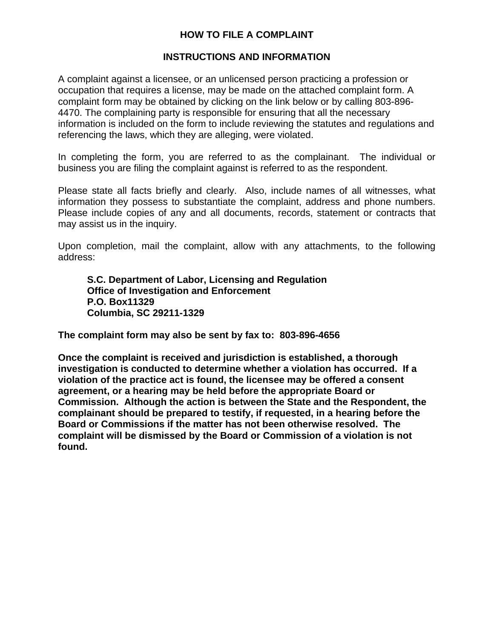## **HOW TO FILE A COMPLAINT**

## **INSTRUCTIONS AND INFORMATION**

A complaint against a licensee, or an unlicensed person practicing a profession or occupation that requires a license, may be made on the attached complaint form. A complaint form may be obtained by clicking on the link below or by calling 803-896- 4470. The complaining party is responsible for ensuring that all the necessary information is included on the form to include reviewing the statutes and regulations and referencing the laws, which they are alleging, were violated.

In completing the form, you are referred to as the complainant. The individual or business you are filing the complaint against is referred to as the respondent.

Please state all facts briefly and clearly. Also, include names of all witnesses, what information they possess to substantiate the complaint, address and phone numbers. Please include copies of any and all documents, records, statement or contracts that may assist us in the inquiry.

Upon completion, mail the complaint, allow with any attachments, to the following address:

**S.C. Department of Labor, Licensing and Regulation Office of Investigation and Enforcement P.O. Box11329 Columbia, SC 29211-1329** 

**The complaint form may also be sent by fax to: 803-896-4656** 

**Once the complaint is received and jurisdiction is established, a thorough investigation is conducted to determine whether a violation has occurred. If a violation of the practice act is found, the licensee may be offered a consent agreement, or a hearing may be held before the appropriate Board or Commission. Although the action is between the State and the Respondent, the complainant should be prepared to testify, if requested, in a hearing before the Board or Commissions if the matter has not been otherwise resolved. The complaint will be dismissed by the Board or Commission of a violation is not found.**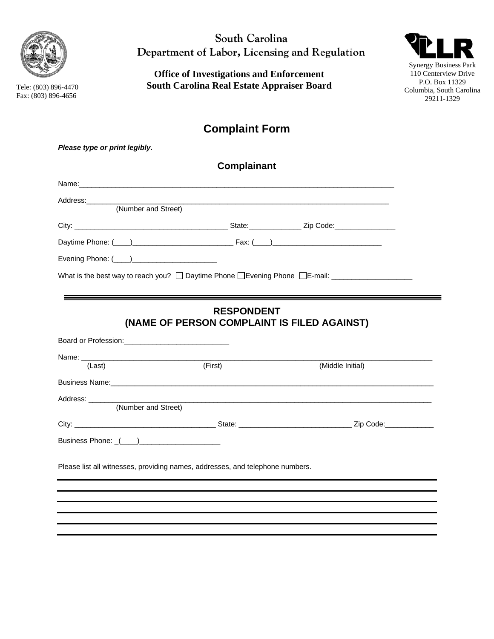

Tele: (803) 896-4470 x Fax: (803) 896-4656

*Please type or print legibly***.** 

South Carolina Department of Labor, Licensing and Regulation

**Office of Investigations and Enforcement South Carolina Real Estate Appraiser Board** 



# **Complaint Form**

|                                 | <b>Complainant</b>                                                                                                                                                                                                             |                                                                                                                                                                                                                                |
|---------------------------------|--------------------------------------------------------------------------------------------------------------------------------------------------------------------------------------------------------------------------------|--------------------------------------------------------------------------------------------------------------------------------------------------------------------------------------------------------------------------------|
|                                 | Name: with the contract of the contract of the contract of the contract of the contract of the contract of the contract of the contract of the contract of the contract of the contract of the contract of the contract of the |                                                                                                                                                                                                                                |
| Address:<br>(Number and Street) |                                                                                                                                                                                                                                |                                                                                                                                                                                                                                |
|                                 |                                                                                                                                                                                                                                |                                                                                                                                                                                                                                |
|                                 |                                                                                                                                                                                                                                |                                                                                                                                                                                                                                |
|                                 |                                                                                                                                                                                                                                |                                                                                                                                                                                                                                |
|                                 |                                                                                                                                                                                                                                | What is the best way to reach you? □ Daytime Phone □ Evening Phone □ E-mail: ______________________                                                                                                                            |
|                                 |                                                                                                                                                                                                                                | <u> 1989 - Johann Stoff, deutscher Stoffen und der Stoffen und der Stoffen und der Stoffen und der Stoffen und der</u>                                                                                                         |
|                                 | <b>RESPONDENT</b>                                                                                                                                                                                                              |                                                                                                                                                                                                                                |
|                                 | (NAME OF PERSON COMPLAINT IS FILED AGAINST)                                                                                                                                                                                    |                                                                                                                                                                                                                                |
|                                 |                                                                                                                                                                                                                                |                                                                                                                                                                                                                                |
| (Last)                          | (First)                                                                                                                                                                                                                        | (Middle Initial)                                                                                                                                                                                                               |
|                                 |                                                                                                                                                                                                                                | Business Name: et al. 2014 and 2014 and 2014 and 2014 and 2014 and 2014 and 2014 and 2014 and 2014 and 2014 and 2014 and 2014 and 2014 and 2014 and 2014 and 2014 and 2014 and 2014 and 2014 and 2014 and 2014 and 2014 and 20 |
|                                 |                                                                                                                                                                                                                                |                                                                                                                                                                                                                                |
| Address:<br>(Number and Street) | and the control of the control of the control of the control of the control of the control of the control of the                                                                                                               |                                                                                                                                                                                                                                |
|                                 |                                                                                                                                                                                                                                |                                                                                                                                                                                                                                |
|                                 |                                                                                                                                                                                                                                |                                                                                                                                                                                                                                |
| Business Phone: ((iii)          |                                                                                                                                                                                                                                |                                                                                                                                                                                                                                |
|                                 |                                                                                                                                                                                                                                |                                                                                                                                                                                                                                |
|                                 | Please list all witnesses, providing names, addresses, and telephone numbers.                                                                                                                                                  |                                                                                                                                                                                                                                |
|                                 |                                                                                                                                                                                                                                |                                                                                                                                                                                                                                |
|                                 |                                                                                                                                                                                                                                |                                                                                                                                                                                                                                |